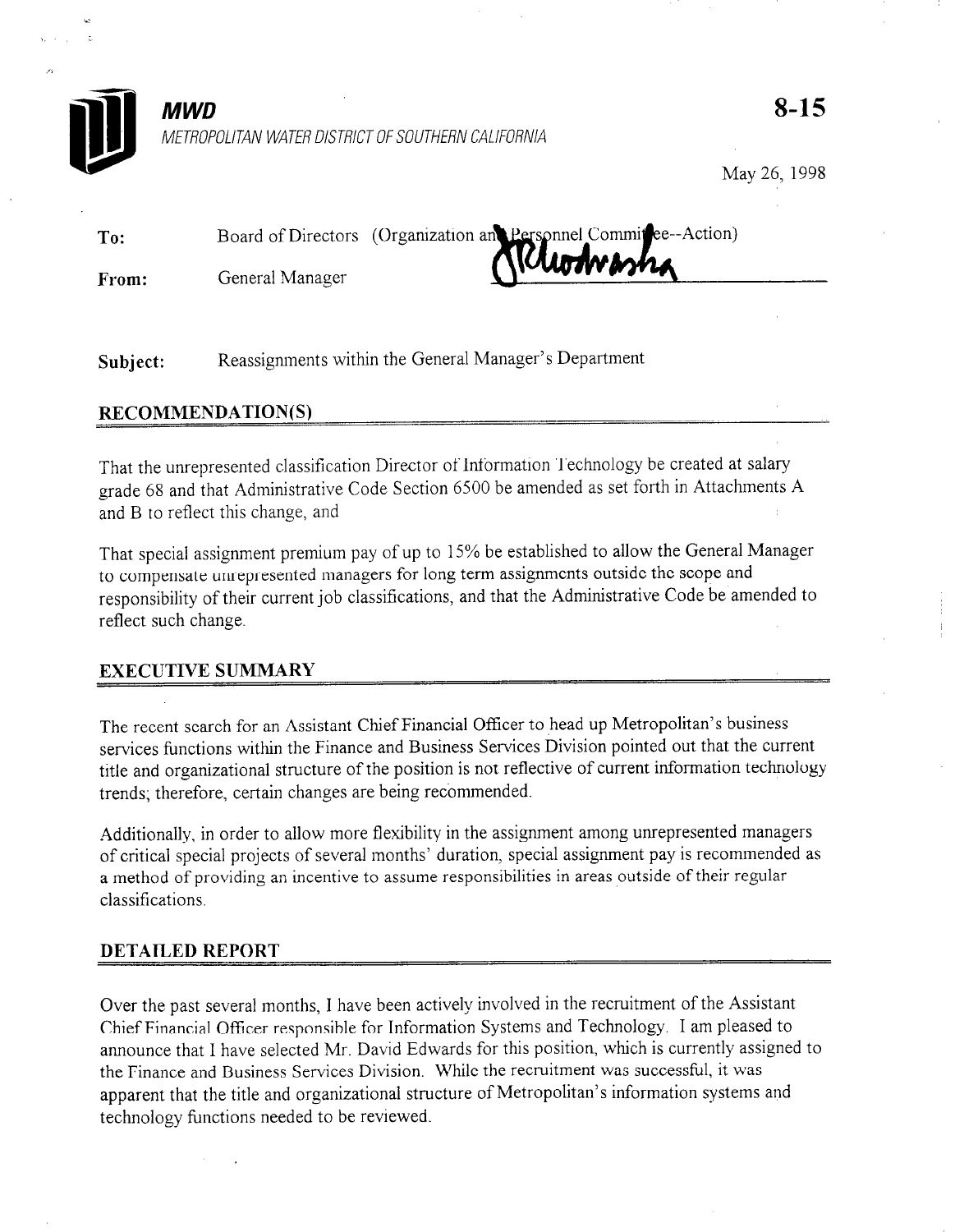

 $MWD$   $8-15$ METROPOLITAN WATER DISTRICT OF SOUTHERN CALIFORNIA

May 26, 1998

| To: |                                                                   |
|-----|-------------------------------------------------------------------|
|     | Board of Directors (Organization and Personnel Commission Action) |

From: General Manager

Subject: Reassignments within the General Manager's Department

## RECOMMENDATION(S)

That the unrepresented classification Director of Information Technology be created at salary grade 68 and that Administrative Code Section 6500 be amended as set forth in Attachments A and B to reflect this change, and

That special assignment premium pay of up to 15% be established to allow the General Manager to compensate unrepresented managers for long term assignments outside the scope and responsibility of their current job classifications, and that the Administrative Code be amended to reflect such change.

# EXECUTIVE SUMMARY

The recent search for an Assistant Chief Financial Officer to head up Metropolitan's business services functions within the Finance and Business Services Division pointed out that the current title and organizational structure of the position is not reflective of current information technology trends; therefore, certain changes are being recommended.

Additionally, in order to allow more flexibility in the assignment among unrepresented managers of critical special projects of several months' duration, special assignment pay is recommended as a method of providing an incentive to assume responsibilities in areas outside of their regular classifications.

## DETAILED REPORT

Over the past several months, I have been actively involved in the recruitment of the Assistant Chief Financial Officer responsible for Information Systems and Technology. I am pleased to announce that I have selected Mr. David Edwards for this position, which is currently assigned to the Finance and Business Services Division, While the recruitment was successful, it was apparent that the title and organizational structure of Metropolitan's information systems and technology functions needed to be reviewed.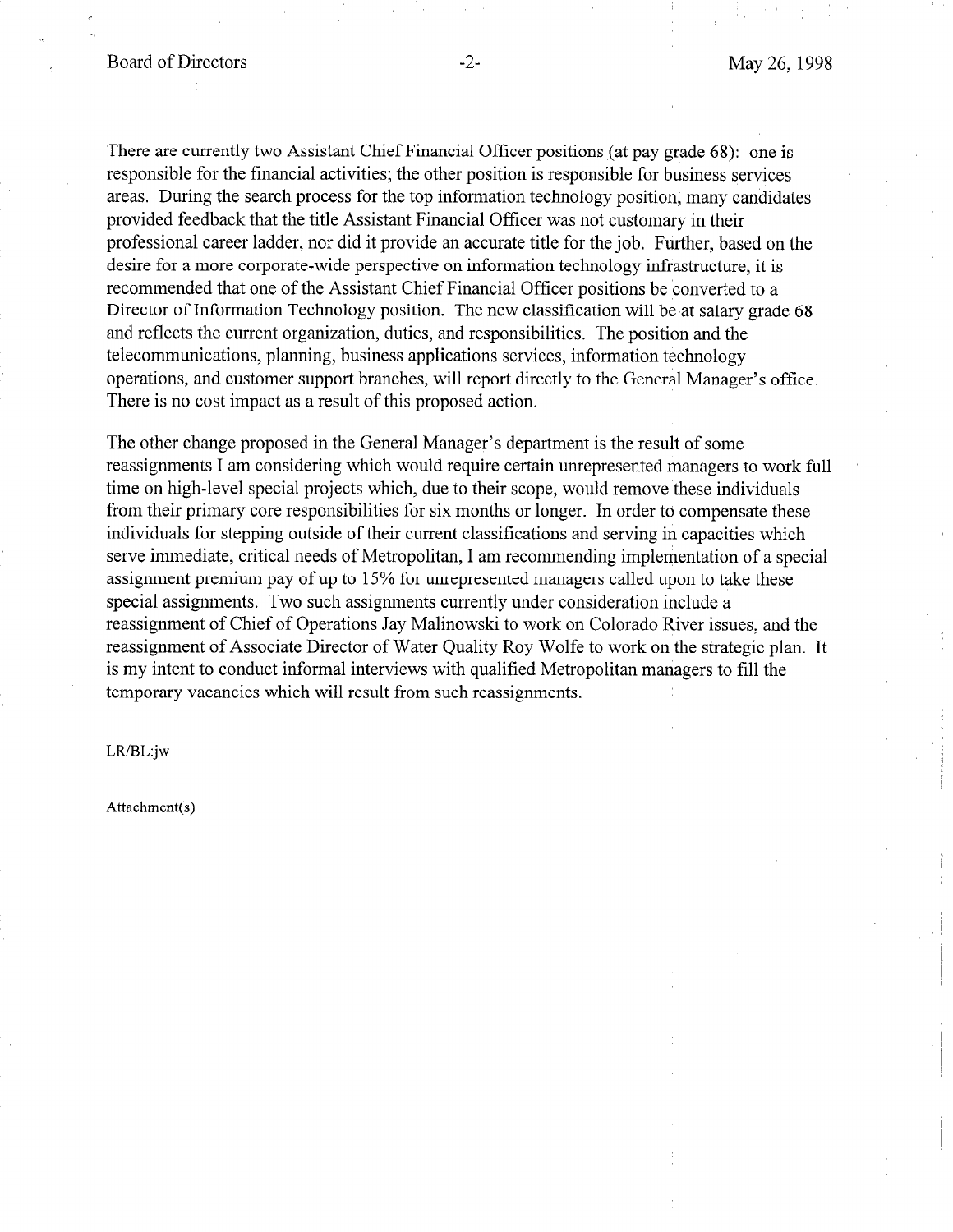There are currently two Assistant Chief Financial Officer positions (at pay grade 68): one is responsible for the financial activities; the other position is responsible for business services areas. During the search process for the top information technology position, many candidates provided feedback that the title Assistant Financial Officer was not customary in their professional career ladder, nor did it provide an accurate title for the job. Further, based on the desire for a more corporate-wide perspective on information technology infrastructure, it is recommended that one of the Assistant Chief Financial Officer positions be converted to a Director of Information Technology position. The new classification will be at salary grade 68 and reflects the current organization, duties, and responsibilities. The position and the telecommunications, planning, business applications services, information technology operations, and customer support branches, will report directly to the General Manager's office. There is no cost impact as a result of this proposed action.

The other change proposed in the General Manager's department is the result of some reassignments I am considering which would require certain unrepresented managers to work full time on high-level special projects which, due to their scope, would remove these individuals from their primary core responsibilities for six months or longer. In order to compensate these individuals for stepping outside of their current classifications and serving in capacities which serve immediate, critical needs of Metropolitan, I am recommending implementation of a special assignment premium pay of up to 15% for unrepresented managers called upon to take these special assignments. Two such assignments currently under consideration include a reassignment of Chief of Operations Jay Malinowski to work on Colorado River issues, and the reassignment of Associate Director of Water Quality Roy Wolfe to work on the strategic plan. It is my intent to conduct informal interviews with qualified Metropolitan managers to fill the temporary vacancies which will result from such reassignments.

#### LR/BL:jw

Attachment(s)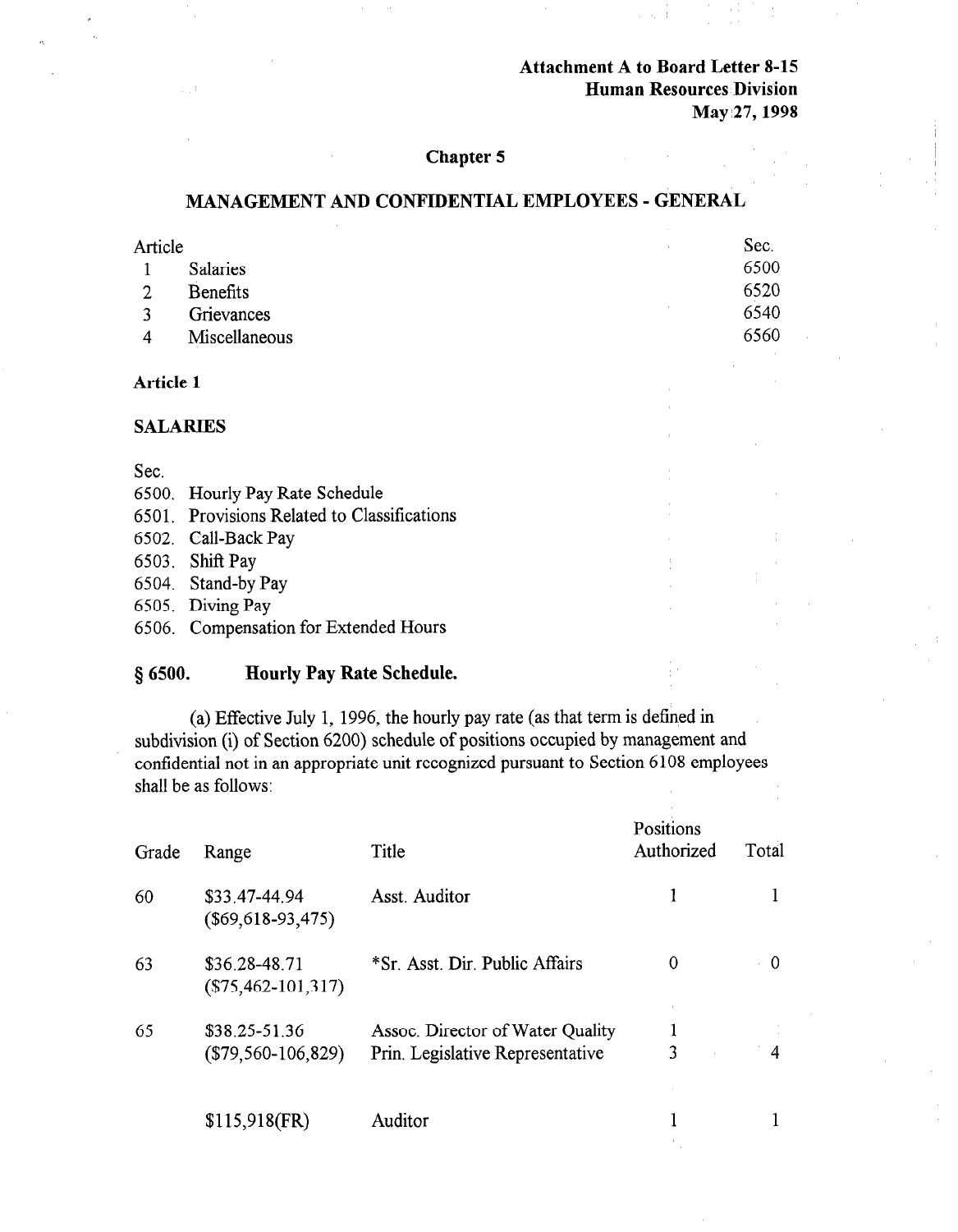## Attachment A to Board Letter 8-15 Human Resources Division May 27, 1998

### Chapter 5

## MANAGEMENT AND CONFIDENTIAL EMPLOYEES - GENERAL

| Article         | Sec. |
|-----------------|------|
| <b>Salaries</b> | 6500 |
| <b>Benefits</b> | 6520 |
| Grievances      | 6540 |
| Miscellaneous   | 6560 |
|                 |      |

### Article 1

#### SALARIES

#### Sec.

- 6500. Hourly Pay Rate Schedule
- 6501. Provisions Related to Classifications
- 6502. Call-Back Pay
- 6503. Shift Pay
- 6504. Stand-by Pay
- 6505. Diving Pay
- 6506. Compensation for Extended Hours

#### 6 6500. Hourly Pay Rate Schedule.

(a) Effective July 1, 1996, the hourly pay rate (as that term is defined in subdivision (i) of Section 6200) schedule of positions occupied by management and confidential not in an appropriate unit recognized pursuant to Section 6 108 employees shall be as follows:

| Grade | Range                                    | Title                                                                | Positions<br>Authorized | Total    |
|-------|------------------------------------------|----------------------------------------------------------------------|-------------------------|----------|
| 60    | \$33.47-44.94<br>$(\$69,618-93,475)$     | Asst. Auditor                                                        |                         |          |
| 63    | \$36.28-48.71<br>$(\$75,462-101,317)$    | *Sr. Asst. Dir. Public Affairs                                       | 0                       | $\Omega$ |
| 65    | $$38.25 - 51.36$<br>$(\$79,560-106,829)$ | Assoc. Director of Water Quality<br>Prin. Legislative Representative | 3                       | 4        |
|       | $$115,918$ (FR)                          | Auditor                                                              |                         |          |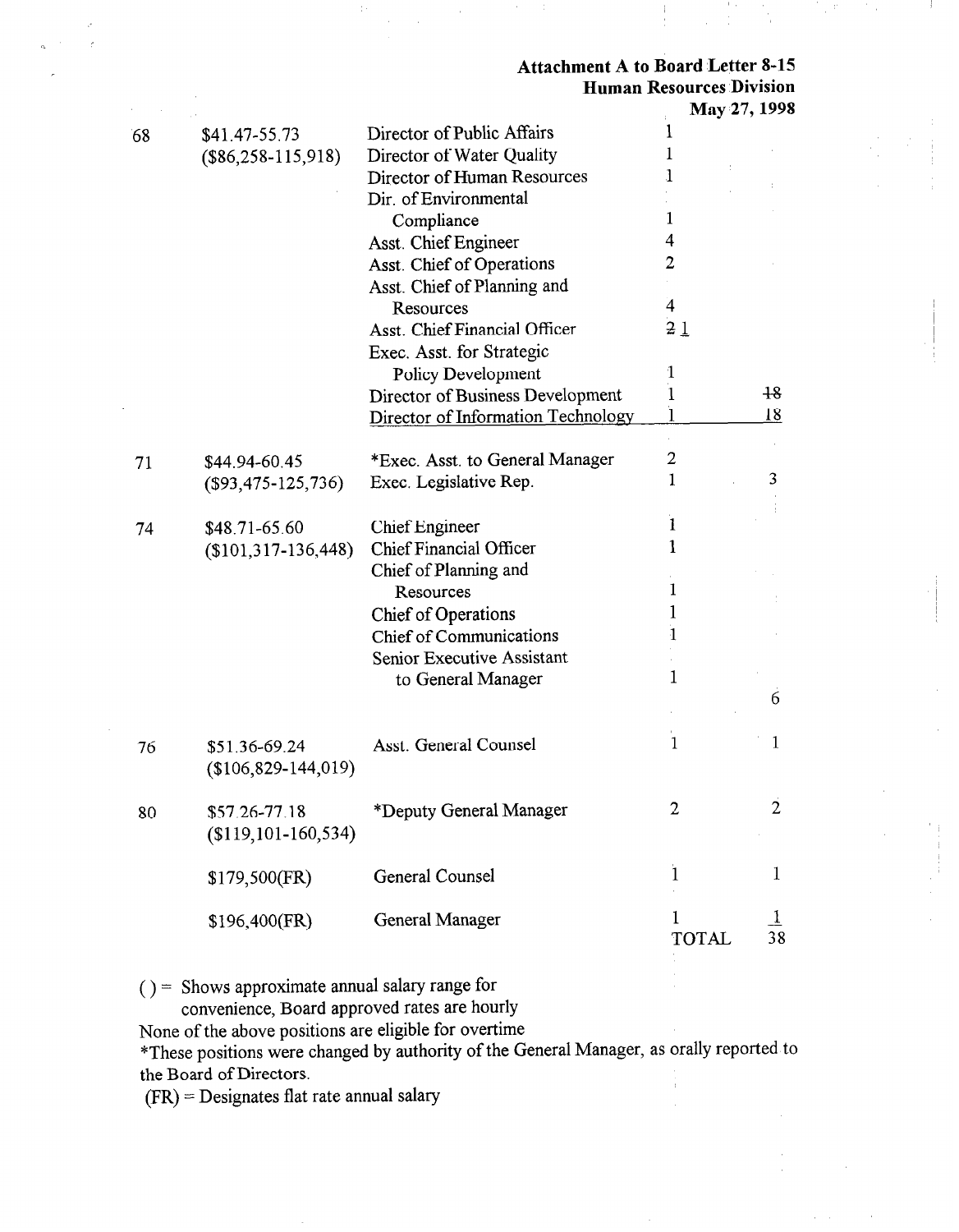### Attachment A to Board Letter 8-15 Human Resources Division May 27, 1998

|    |                          |                                      | <b>NIAY 27, 1998</b> |                |
|----|--------------------------|--------------------------------------|----------------------|----------------|
| 68 | \$41.47-55.73            | Director of Public Affairs           | 1                    |                |
|    | $($86,258-115,918)$      | Director of Water Quality            | 1                    |                |
|    |                          | Director of Human Resources          | 1                    |                |
|    |                          | Dir. of Environmental                |                      |                |
|    |                          | Compliance                           | 1                    |                |
|    |                          | Asst. Chief Engineer                 | 4                    |                |
|    |                          | Asst. Chief of Operations            | $\overline{2}$       |                |
|    |                          | Asst. Chief of Planning and          |                      |                |
|    |                          | Resources                            | $\overline{4}$       |                |
|    |                          | <b>Asst. Chief Financial Officer</b> | 21                   |                |
|    |                          | Exec. Asst. for Strategic            |                      |                |
|    |                          | Policy Development                   | 1                    |                |
|    |                          | Director of Business Development     | I                    | $+8$           |
|    |                          | Director of Information Technology   | $\mathbf{l}$         | 18             |
|    |                          |                                      |                      |                |
| 71 | \$44.94-60.45            | *Exec. Asst. to General Manager      | $\overline{2}$       |                |
|    | $($93,475-125,736)$      | Exec. Legislative Rep.               | $\mathbf{1}$         | 3              |
|    |                          |                                      |                      |                |
| 74 | \$48.71-65.60            | <b>Chief Engineer</b>                | $\mathbf{1}$         |                |
|    | $($101,317-136,448)$     | <b>Chief Financial Officer</b>       | $\mathbf{1}$         |                |
|    |                          | Chief of Planning and                |                      |                |
|    |                          | Resources                            | 1                    |                |
|    |                          | Chief of Operations                  | 1                    |                |
|    |                          | Chief of Communications              | 1                    |                |
|    |                          | Senior Executive Assistant           |                      |                |
|    |                          | to General Manager                   | $\mathbf{1}$         |                |
|    |                          |                                      |                      | 6              |
|    |                          |                                      |                      |                |
| 76 | \$51.36-69.24            | Asst. General Counsel                | $\mathbf{1}$         | 1              |
|    | $($106,829-144,019)$     |                                      |                      |                |
|    |                          |                                      |                      |                |
| 80 | \$57.26-77.18            | *Deputy General Manager              | $\overline{2}$       | $\overline{2}$ |
|    | $($119, 101 - 160, 534)$ |                                      |                      |                |
|    |                          |                                      |                      |                |
|    | \$179,500(FR)            | General Counsel                      | $\bf{l}$             | 1              |
|    |                          |                                      |                      |                |
|    | \$196,400(FR)            | <b>General Manager</b>               | 1                    |                |
|    |                          |                                      | <b>TOTAL</b>         | 38             |
|    |                          |                                      |                      |                |

 $( ) =$  Shows approximate annual salary range for

convenience, Board approved rates are hourly

None of the above positions are eligible for overtime

\*These positions were changed by authority of the General Manager, as orally reported to the Board of Directors.

(FR) = Designates flat rate annual salary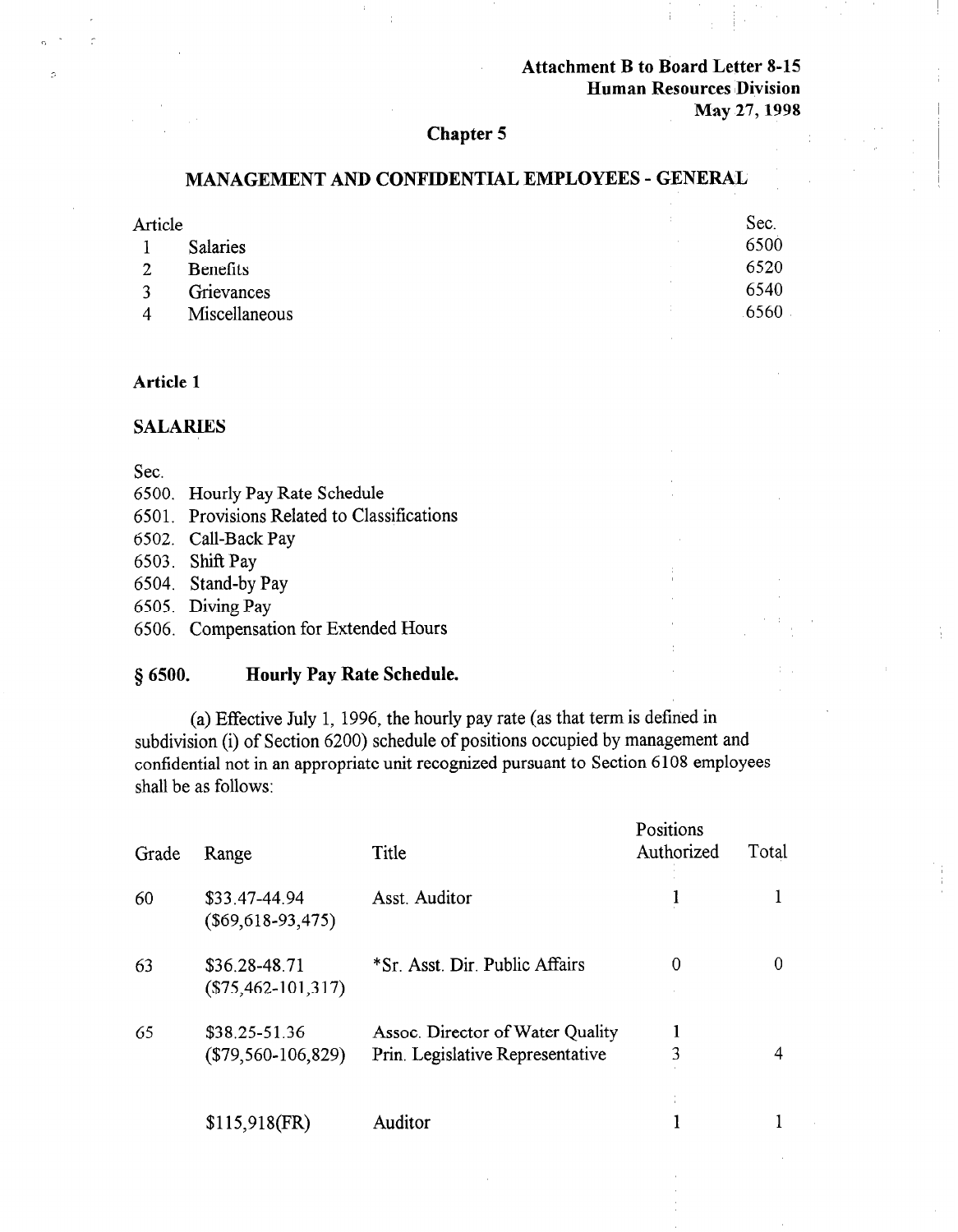## Attachment B to Board Letter 8-15 Human Resources IDivision May 27,1998

### Chapter 5

#### MANAGEMENT AND CONFIDENTIAL EMPLOYEES - GENERAL

| Article        |                 | ÷ | Sec. |
|----------------|-----------------|---|------|
|                | <b>Salaries</b> |   | 6500 |
| $\overline{2}$ | <b>Benefits</b> |   | 6520 |
|                | Grievances      |   | 6540 |
| 4              | Miscellaneous   |   | 6560 |

## Article 1

### SALARIES

## Sec.

- 6500. Hourly Pay Rate Schedule
- 6501. Provisions Related to Classifications
- 6502. Call-Back Pay
- 6503. Shift Pay
- 6504. Stand-by Pay
- 6505. Diving Pay
- 6506. Compensation for Extended Hours

### § 6500. Hourly Pay Rate Schedule.

(a) Equation  $\mathbf{I}$  1, 1996, the hourly pay rate (as the hourly pay rate (as the hourly pay rate term is defined in the hourly pay rate (as the hourly pay rate of the hourly pay rate (as the hourly pay rate of the hourl  $\frac{1}{2}$  (a) Encours sury 1, 1990, the nourly pay rare (as that term is defined by  $\frac{1}{2}$  $\frac{1}{2}$ subdivision (1) of Section 6200) sencuale of positions occupied by management the  $\epsilon$ omidential flot in

| Grade | Range                                    | Title                                                                | Positions<br>Authorized | Total |
|-------|------------------------------------------|----------------------------------------------------------------------|-------------------------|-------|
| 60    | \$33.47-44.94<br>$(\$69,618-93,475)$     | Asst. Auditor                                                        | ł                       |       |
| 63    | \$36.28-48.71<br>$(\$75,462-101,317)$    | *Sr. Asst. Dir. Public Affairs                                       | 0                       | 0     |
| 65    | $$38.25 - 51.36$<br>$(\$79,560-106,829)$ | Assoc. Director of Water Quality<br>Prin. Legislative Representative | 3                       | 4     |
|       | $$115,918$ (FR)                          | Auditor                                                              |                         |       |